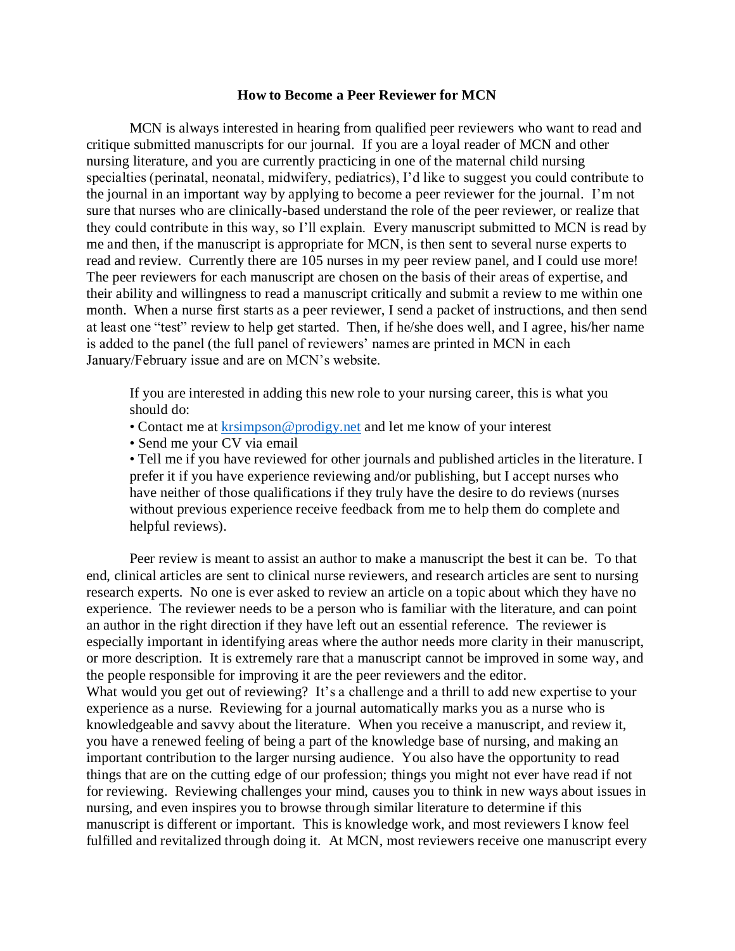## **How to Become a Peer Reviewer for MCN**

MCN is always interested in hearing from qualified peer reviewers who want to read and critique submitted manuscripts for our journal. If you are a loyal reader of MCN and other nursing literature, and you are currently practicing in one of the maternal child nursing specialties (perinatal, neonatal, midwifery, pediatrics), I'd like to suggest you could contribute to the journal in an important way by applying to become a peer reviewer for the journal. I'm not sure that nurses who are clinically-based understand the role of the peer reviewer, or realize that they could contribute in this way, so I'll explain. Every manuscript submitted to MCN is read by me and then, if the manuscript is appropriate for MCN, is then sent to several nurse experts to read and review. Currently there are 105 nurses in my peer review panel, and I could use more! The peer reviewers for each manuscript are chosen on the basis of their areas of expertise, and their ability and willingness to read a manuscript critically and submit a review to me within one month. When a nurse first starts as a peer reviewer, I send a packet of instructions, and then send at least one "test" review to help get started. Then, if he/she does well, and I agree, his/her name is added to the panel (the full panel of reviewers' names are printed in MCN in each January/February issue and are on MCN's website.

If you are interested in adding this new role to your nursing career, this is what you should do:

- Contact me at [krsimpson@prodigy.net](mailto:krsimpson@prodigy.net) and let me know of your interest
- Send me your CV via email

• Tell me if you have reviewed for other journals and published articles in the literature. I prefer it if you have experience reviewing and/or publishing, but I accept nurses who have neither of those qualifications if they truly have the desire to do reviews (nurses without previous experience receive feedback from me to help them do complete and helpful reviews).

Peer review is meant to assist an author to make a manuscript the best it can be. To that end, clinical articles are sent to clinical nurse reviewers, and research articles are sent to nursing research experts. No one is ever asked to review an article on a topic about which they have no experience. The reviewer needs to be a person who is familiar with the literature, and can point an author in the right direction if they have left out an essential reference. The reviewer is especially important in identifying areas where the author needs more clarity in their manuscript, or more description. It is extremely rare that a manuscript cannot be improved in some way, and the people responsible for improving it are the peer reviewers and the editor. What would you get out of reviewing? It's a challenge and a thrill to add new expertise to your experience as a nurse. Reviewing for a journal automatically marks you as a nurse who is knowledgeable and savvy about the literature. When you receive a manuscript, and review it, you have a renewed feeling of being a part of the knowledge base of nursing, and making an important contribution to the larger nursing audience. You also have the opportunity to read things that are on the cutting edge of our profession; things you might not ever have read if not for reviewing. Reviewing challenges your mind, causes you to think in new ways about issues in nursing, and even inspires you to browse through similar literature to determine if this manuscript is different or important. This is knowledge work, and most reviewers I know feel fulfilled and revitalized through doing it. At MCN, most reviewers receive one manuscript every